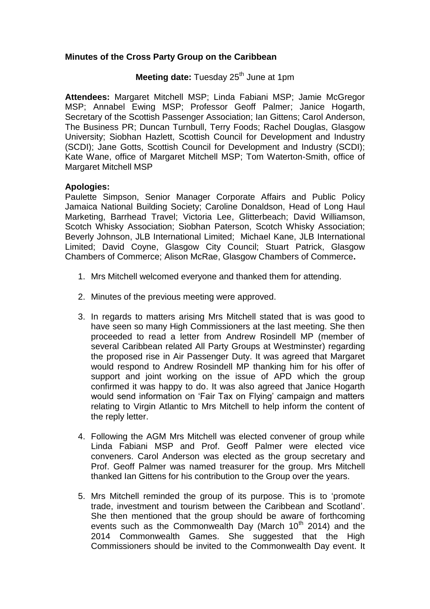## **Minutes of the Cross Party Group on the Caribbean**

## **Meeting date:** Tuesday 25<sup>th</sup> June at 1pm

**Attendees:** Margaret Mitchell MSP; Linda Fabiani MSP; Jamie McGregor MSP; Annabel Ewing MSP; Professor Geoff Palmer; Janice Hogarth, Secretary of the Scottish Passenger Association; Ian Gittens; Carol Anderson, The Business PR; Duncan Turnbull, Terry Foods; Rachel Douglas, Glasgow University; Siobhan Hazlett, Scottish Council for Development and Industry (SCDI); Jane Gotts, Scottish Council for Development and Industry (SCDI); Kate Wane, office of Margaret Mitchell MSP; Tom Waterton-Smith, office of Margaret Mitchell MSP

## **Apologies:**

Paulette Simpson, Senior Manager Corporate Affairs and Public Policy Jamaica National Building Society; Caroline Donaldson, Head of Long Haul Marketing, Barrhead Travel; Victoria Lee, Glitterbeach; David Williamson, Scotch Whisky Association; Siobhan Paterson, Scotch Whisky Association; Beverly Johnson, JLB International Limited; Michael Kane, JLB International Limited; David Coyne, Glasgow City Council; Stuart Patrick, Glasgow Chambers of Commerce; Alison McRae, Glasgow Chambers of Commerce**.** 

- 1. Mrs Mitchell welcomed everyone and thanked them for attending.
- 2. Minutes of the previous meeting were approved.
- 3. In regards to matters arising Mrs Mitchell stated that is was good to have seen so many High Commissioners at the last meeting. She then proceeded to read a letter from Andrew Rosindell MP (member of several Caribbean related All Party Groups at Westminster) regarding the proposed rise in Air Passenger Duty. It was agreed that Margaret would respond to Andrew Rosindell MP thanking him for his offer of support and joint working on the issue of APD which the group confirmed it was happy to do. It was also agreed that Janice Hogarth would send information on 'Fair Tax on Flying' campaign and matters relating to Virgin Atlantic to Mrs Mitchell to help inform the content of the reply letter.
- 4. Following the AGM Mrs Mitchell was elected convener of group while Linda Fabiani MSP and Prof. Geoff Palmer were elected vice conveners. Carol Anderson was elected as the group secretary and Prof. Geoff Palmer was named treasurer for the group. Mrs Mitchell thanked Ian Gittens for his contribution to the Group over the years.
- 5. Mrs Mitchell reminded the group of its purpose. This is to 'promote trade, investment and tourism between the Caribbean and Scotland'. She then mentioned that the group should be aware of forthcoming events such as the Commonwealth Day (March  $10<sup>th</sup>$  2014) and the 2014 Commonwealth Games. She suggested that the High Commissioners should be invited to the Commonwealth Day event. It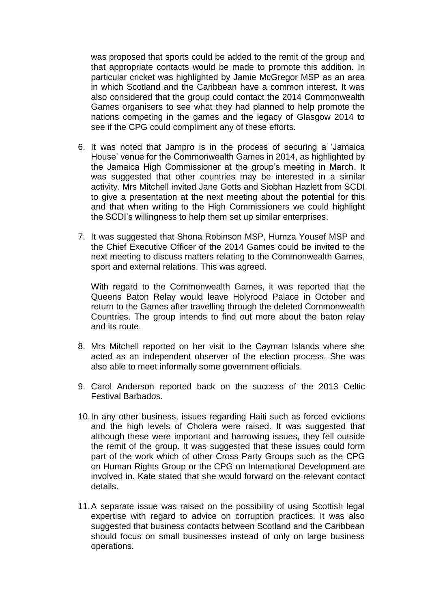was proposed that sports could be added to the remit of the group and that appropriate contacts would be made to promote this addition. In particular cricket was highlighted by Jamie McGregor MSP as an area in which Scotland and the Caribbean have a common interest. It was also considered that the group could contact the 2014 Commonwealth Games organisers to see what they had planned to help promote the nations competing in the games and the legacy of Glasgow 2014 to see if the CPG could compliment any of these efforts.

- 6. It was noted that Jampro is in the process of securing a 'Jamaica House' venue for the Commonwealth Games in 2014, as highlighted by the Jamaica High Commissioner at the group's meeting in March. It was suggested that other countries may be interested in a similar activity. Mrs Mitchell invited Jane Gotts and Siobhan Hazlett from SCDI to give a presentation at the next meeting about the potential for this and that when writing to the High Commissioners we could highlight the SCDI's willingness to help them set up similar enterprises.
- 7. It was suggested that Shona Robinson MSP, Humza Yousef MSP and the Chief Executive Officer of the 2014 Games could be invited to the next meeting to discuss matters relating to the Commonwealth Games, sport and external relations. This was agreed.

With regard to the Commonwealth Games, it was reported that the Queens Baton Relay would leave Holyrood Palace in October and return to the Games after travelling through the deleted Commonwealth Countries. The group intends to find out more about the baton relay and its route.

- 8. Mrs Mitchell reported on her visit to the Cayman Islands where she acted as an independent observer of the election process. She was also able to meet informally some government officials.
- 9. Carol Anderson reported back on the success of the 2013 Celtic Festival Barbados.
- 10.In any other business, issues regarding Haiti such as forced evictions and the high levels of Cholera were raised. It was suggested that although these were important and harrowing issues, they fell outside the remit of the group. It was suggested that these issues could form part of the work which of other Cross Party Groups such as the CPG on Human Rights Group or the CPG on International Development are involved in. Kate stated that she would forward on the relevant contact details.
- 11.A separate issue was raised on the possibility of using Scottish legal expertise with regard to advice on corruption practices. It was also suggested that business contacts between Scotland and the Caribbean should focus on small businesses instead of only on large business operations.